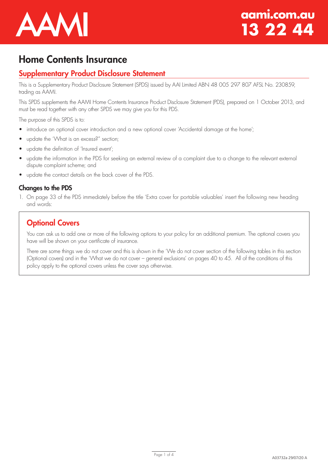

# Home Contents Insurance

# Supplementary Product Disclosure Statement

This is a Supplementary Product Disclosure Statement (SPDS) issued by AAI Limited ABN 48 005 297 807 AFSL No. 230859, trading as AAMI.

This SPDS supplements the AAMI Home Contents Insurance Product Disclosure Statement (PDS), prepared on 1 October 2013, and must be read together with any other SPDS we may give you for this PDS.

The purpose of this SPDS is to:

- introduce an optional cover introduction and a new optional cover 'Accidental damage at the home';
- update the 'What is an excess?" section;
- update the definition of 'Insured event';
- update the information in the PDS for seeking an external review of a complaint due to a change to the relevant external dispute complaint scheme; and
- update the contact details on the back cover of the PDS.

### Changes to the PDS

1. On page 33 of the PDS immediately before the title 'Extra cover for portable valuables' insert the following new heading and words:

# **Optional Covers**

You can ask us to add one or more of the following options to your policy for an additional premium. The optional covers you have will be shown on your certificate of insurance.

There are some things we do not cover and this is shown in the 'We do not cover section of the following tables in this section (Optional covers) and in the 'What we do not cover – general exclusions' on pages 40 to 45. All of the conditions of this policy apply to the optional covers unless the cover says otherwise.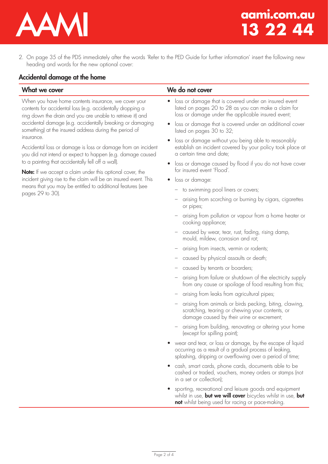

2. On page 35 of the PDS immediately after the words 'Refer to the PED Guide for further information' insert the following new heading and words for the new optional cover:

### Accidental damage at the home

When you have home contents insurance, we cover your contents for accidental loss (e.g. accidentally dropping a ring down the drain and you are unable to retrieve it) and accidental damage (e.g. accidentally breaking or damaging something) at the insured address during the period of insurance.

Accidental loss or damage is loss or damage from an incident you did not intend or expect to happen (e.g. damage caused to a painting that accidentally fell off a wall).

Note: If we accept a claim under this optional cover, the incident giving rise to the claim will be an insured event. This means that you may be entitled to additional features (see pages 29 to 30).

### What we cover **We do not cover**

- loss or damage that is covered under an insured event listed on pages 20 to 28 as you can make a claim for loss or damage under the applicable insured event;
- loss or damage that is covered under an additional cover listed on pages 30 to 32;
- loss or damage without you being able to reasonably establish an incident covered by your policy took place at a certain time and date;
- loss or damage caused by flood if you do not have cover for insured event 'Flood'.
- loss or damage:
	- to swimming pool liners or covers;
	- arising from scorching or burning by cigars, cigarettes or pipes;
	- arising from pollution or vapour from a home heater or cooking appliance;
	- caused by wear, tear, rust, fading, rising damp, mould, mildew, corrosion and rot;
	- arising from insects, vermin or rodents;
	- caused by physical assaults or death;
	- caused by tenants or boarders;
	- arising from failure or shutdown of the electricity supply from any cause or spoilage of food resulting from this;
	- arising from leaks from agricultural pipes;
	- arising from animals or birds pecking, biting, clawing, scratching, tearing or chewing your contents, or damage caused by their urine or excrement;
	- arising from building, renovating or altering your home (except for spilling paint);
- wear and tear, or loss or damage, by the escape of liquid occurring as a result of a gradual process of leaking, splashing, dripping or overflowing over a period of time;
- cash, smart cards, phone cards, documents able to be cashed or traded, vouchers, money orders or stamps (not in a set or collection);
- sporting, recreational and leisure goods and equipment whilst in use, **but we will cover** bicycles whilst in use, **but** not whilst being used for racing or pace-making.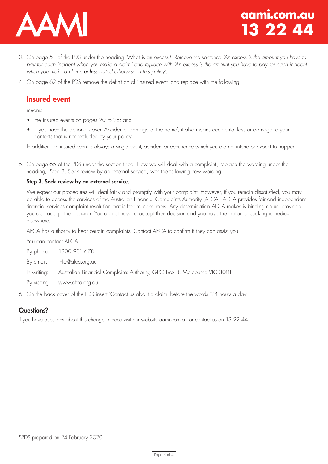

- 3. On page 51 of the PDS under the heading 'What is an excess?' Remove the sentence *'An excess is the amount you have to pay for each incident when you make a claim.' and replace with 'An excess is the amount you have to pay for each incident when you make a claim, unless stated otherwise in this policy'*.
- 4. On page 62 of the PDS remove the definition of 'Insured event' and replace with the following:

## Insured event

means:

- the insured events on pages 20 to 28; and
- if you have the optional cover 'Accidental damage at the home', it also means accidental loss or damage to your contents that is not excluded by your policy.

In addition, an insured event is always a single event, accident or occurrence which you did not intend or expect to happen.

5. On page 65 of the PDS under the section titled 'How we will deal with a complaint', replace the wording under the heading, 'Step 3. Seek review by an external service', with the following new wording:

### Step 3. Seek review by an external service.

We expect our procedures will deal fairly and promptly with your complaint. However, if you remain dissatisfied, you may be able to access the services of the Australian Financial Complaints Authority (AFCA). AFCA provides fair and independent financial services complaint resolution that is free to consumers. Any determination AFCA makes is binding on us, provided you also accept the decision. You do not have to accept their decision and you have the option of seeking remedies elsewhere.

AFCA has authority to hear certain complaints. Contact AFCA to confirm if they can assist you.

You can contact AFCA: By phone: 1800 931 678 By email: info@afca.org.au In writing: Australian Financial Complaints Authority, GPO Box 3, Melbourne VIC 3001 By visiting: www.afca.org.au

6. On the back cover of the PDS insert 'Contact us about a claim' before the words '24 hours a day'.

### Questions?

If you have questions about this change, please visit our website aami.com.au or contact us on 13 22 44.